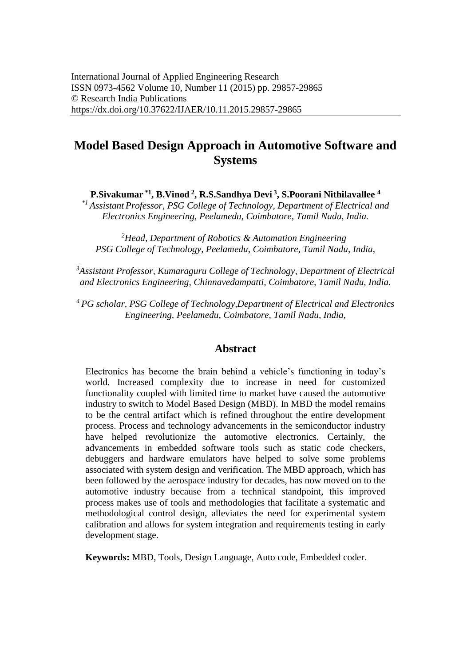# **Model Based Design Approach in Automotive Software and Systems**

**P.Sivakumar \*1, B.Vinod<sup>2</sup>, R.S.Sandhya Devi<sup>3</sup>, S.Poorani Nithilavallee <sup>4</sup>**

*\*1 Assistant Professor, PSG College of Technology, Department of Electrical and Electronics Engineering, Peelamedu, Coimbatore, Tamil Nadu, India.* 

*<sup>2</sup>Head, Department of Robotics & Automation Engineering PSG College of Technology, Peelamedu, Coimbatore, Tamil Nadu, India,* 

*<sup>3</sup>Assistant Professor, Kumaraguru College of Technology, Department of Electrical and Electronics Engineering, Chinnavedampatti, Coimbatore, Tamil Nadu, India.* 

*<sup>4</sup> PG scholar, PSG College of Technology,Department of Electrical and Electronics Engineering, Peelamedu, Coimbatore, Tamil Nadu, India,*

### **Abstract**

Electronics has become the brain behind a vehicle's functioning in today's world. Increased complexity due to increase in need for customized functionality coupled with limited time to market have caused the automotive industry to switch to Model Based Design (MBD). In MBD the model remains to be the central artifact which is refined throughout the entire development process. Process and technology advancements in the semiconductor industry have helped revolutionize the automotive electronics. Certainly, the advancements in embedded software tools such as static code checkers, debuggers and hardware emulators have helped to solve some problems associated with system design and verification. The MBD approach, which has been followed by the aerospace industry for decades, has now moved on to the automotive industry because from a technical standpoint, this improved process makes use of tools and methodologies that facilitate a systematic and methodological control design, alleviates the need for experimental system calibration and allows for system integration and requirements testing in early development stage.

**Keywords:** MBD, Tools, Design Language, Auto code, Embedded coder.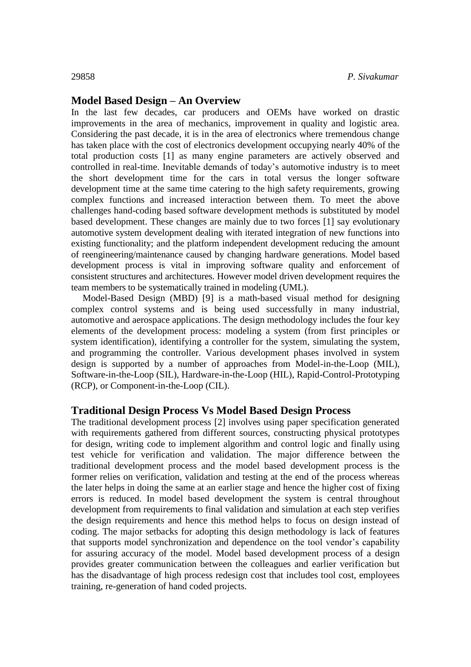### **Model Based Design – An Overview**

In the last few decades, car producers and OEMs have worked on drastic improvements in the area of mechanics, improvement in quality and logistic area. Considering the past decade, it is in the area of electronics where tremendous change has taken place with the cost of electronics development occupying nearly 40% of the total production costs [1] as many engine parameters are actively observed and controlled in real-time. Inevitable demands of today's automotive industry is to meet the short development time for the cars in total versus the longer software development time at the same time catering to the high safety requirements, growing complex functions and increased interaction between them. To meet the above challenges hand-coding based software development methods is substituted by model based development. These changes are mainly due to two forces [1] say evolutionary automotive system development dealing with iterated integration of new functions into existing functionality; and the platform independent development reducing the amount of reengineering/maintenance caused by changing hardware generations. Model based development process is vital in improving software quality and enforcement of consistent structures and architectures. However model driven development requires the team members to be systematically trained in modeling (UML).

Model-Based Design (MBD) [9] is a math-based visual method for designing complex control systems and is being used successfully in many industrial, automotive and aerospace applications. The design methodology includes the four key elements of the development process: modeling a system (from first principles or system identification), identifying a controller for the system, simulating the system, and programming the controller. Various development phases involved in system design is supported by a number of approaches from Model-in-the-Loop (MIL), Software-in-the-Loop (SIL), Hardware-in-the-Loop (HIL), Rapid-Control-Prototyping (RCP), or Component-in-the-Loop (CIL).

### **Traditional Design Process Vs Model Based Design Process**

The traditional development process [2] involves using paper specification generated with requirements gathered from different sources, constructing physical prototypes for design, writing code to implement algorithm and control logic and finally using test vehicle for verification and validation. The major difference between the traditional development process and the model based development process is the former relies on verification, validation and testing at the end of the process whereas the later helps in doing the same at an earlier stage and hence the higher cost of fixing errors is reduced. In model based development the system is central throughout development from requirements to final validation and simulation at each step verifies the design requirements and hence this method helps to focus on design instead of coding. The major setbacks for adopting this design methodology is lack of features that supports model synchronization and dependence on the tool vendor's capability for assuring accuracy of the model. Model based development process of a design provides greater communication between the colleagues and earlier verification but has the disadvantage of high process redesign cost that includes tool cost, employees training, re-generation of hand coded projects.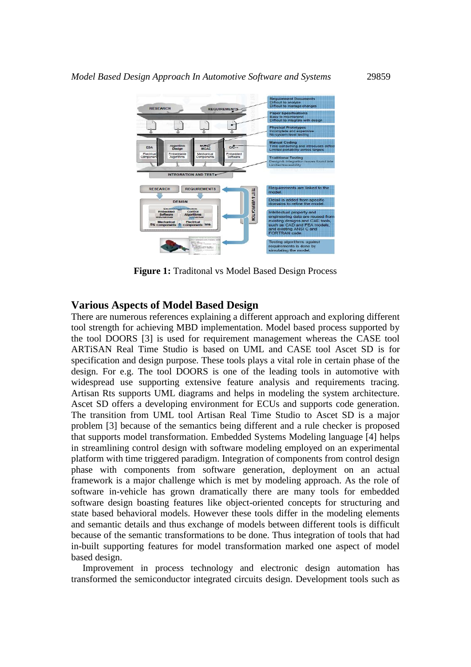

**Figure 1:** Traditonal vs Model Based Design Process

#### **Various Aspects of Model Based Design**

There are numerous references explaining a different approach and exploring different tool strength for achieving MBD implementation. Model based process supported by the tool DOORS [3] is used for requirement management whereas the CASE tool ARTiSAN Real Time Studio is based on UML and CASE tool Ascet SD is for specification and design purpose. These tools plays a vital role in certain phase of the design. For e.g. The tool DOORS is one of the leading tools in automotive with widespread use supporting extensive feature analysis and requirements tracing. Artisan Rts supports UML diagrams and helps in modeling the system architecture. Ascet SD offers a developing environment for ECUs and supports code generation. The transition from UML tool Artisan Real Time Studio to Ascet SD is a major problem [3] because of the semantics being different and a rule checker is proposed that supports model transformation. Embedded Systems Modeling language [4] helps in streamlining control design with software modeling employed on an experimental platform with time triggered paradigm. Integration of components from control design phase with components from software generation, deployment on an actual framework is a major challenge which is met by modeling approach. As the role of software in-vehicle has grown dramatically there are many tools for embedded software design boasting features like object-oriented concepts for structuring and state based behavioral models. However these tools differ in the modeling elements and semantic details and thus exchange of models between different tools is difficult because of the semantic transformations to be done. Thus integration of tools that had in-built supporting features for model transformation marked one aspect of model based design.

Improvement in process technology and electronic design automation has transformed the semiconductor integrated circuits design. Development tools such as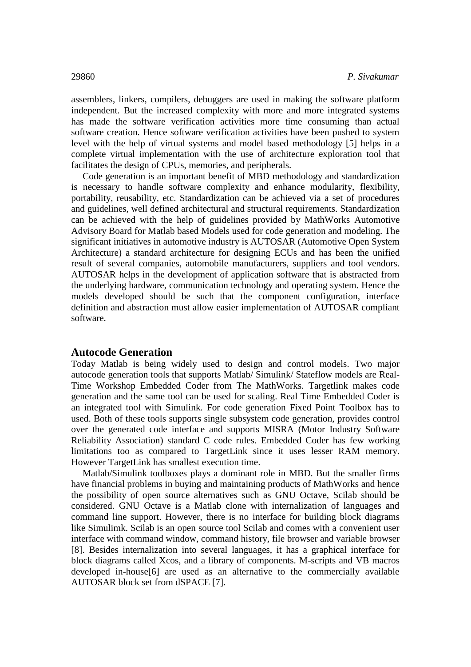assemblers, linkers, compilers, debuggers are used in making the software platform independent. But the increased complexity with more and more integrated systems has made the software verification activities more time consuming than actual software creation. Hence software verification activities have been pushed to system level with the help of virtual systems and model based methodology [5] helps in a complete virtual implementation with the use of architecture exploration tool that facilitates the design of CPUs, memories, and peripherals.

Code generation is an important benefit of MBD methodology and standardization is necessary to handle software complexity and enhance modularity, flexibility, portability, reusability, etc. Standardization can be achieved via a set of procedures and guidelines, well defined architectural and structural requirements. Standardization can be achieved with the help of guidelines provided by MathWorks Automotive Advisory Board for Matlab based Models used for code generation and modeling. The significant initiatives in automotive industry is AUTOSAR (Automotive Open System Architecture) a standard architecture for designing ECUs and has been the unified result of several companies, automobile manufacturers, suppliers and tool vendors. AUTOSAR helps in the development of application software that is abstracted from the underlying hardware, communication technology and operating system. Hence the models developed should be such that the component configuration, interface definition and abstraction must allow easier implementation of AUTOSAR compliant software.

#### **Autocode Generation**

Today Matlab is being widely used to design and control models. Two major autocode generation tools that supports Matlab/ Simulink/ Stateflow models are Real-Time Workshop Embedded Coder from The MathWorks. Targetlink makes code generation and the same tool can be used for scaling. Real Time Embedded Coder is an integrated tool with Simulink. For code generation Fixed Point Toolbox has to used. Both of these tools supports single subsystem code generation, provides control over the generated code interface and supports MISRA (Motor Industry Software Reliability Association) standard C code rules. Embedded Coder has few working limitations too as compared to TargetLink since it uses lesser RAM memory. However TargetLink has smallest execution time.

Matlab/Simulink toolboxes plays a dominant role in MBD. But the smaller firms have financial problems in buying and maintaining products of MathWorks and hence the possibility of open source alternatives such as GNU Octave, Scilab should be considered. GNU Octave is a Matlab clone with internalization of languages and command line support. However, there is no interface for building block diagrams like Simulimk. Scilab is an open source tool Scilab and comes with a convenient user interface with command window, command history, file browser and variable browser [8]. Besides internalization into several languages, it has a graphical interface for block diagrams called Xcos, and a library of components. M-scripts and VB macros developed in-house[6] are used as an alternative to the commercially available AUTOSAR block set from dSPACE [7].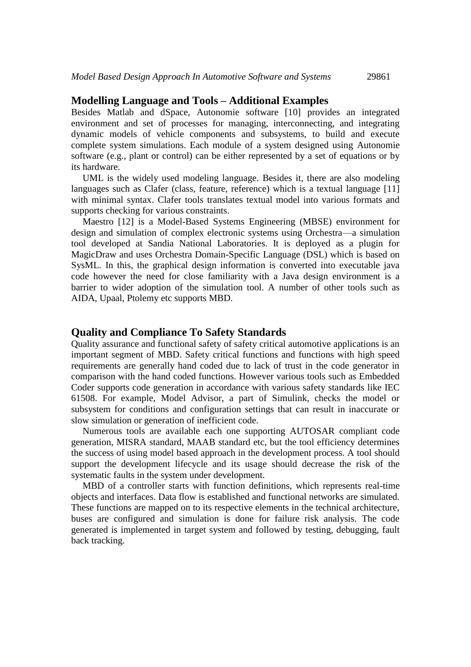#### **Modelling Language and Tools – Additional Examples**

Besides Matlab and dSpace, Autonomie software [10] provides an integrated environment and set of processes for managing, interconnecting, and integrating dynamic models of vehicle components and subsystems, to build and execute complete system simulations. Each module of a system designed using Autonomie software (e.g., plant or control) can be either represented by a set of equations or by its hardware.

UML is the widely used modeling language. Besides it, there are also modeling languages such as Clafer (class, feature, reference) which is a textual language [11] with minimal syntax. Clafer tools translates textual model into various formats and supports checking for various constraints.

Maestro [12] is a Model-Based Systems Engineering (MBSE) environment for design and simulation of complex electronic systems using Orchestra—a simulation tool developed at Sandia National Laboratories. It is deployed as a plugin for MagicDraw and uses Orchestra Domain-Specific Language (DSL) which is based on SysML. In this, the graphical design information is converted into executable java code however the need for close familiarity with a Java design environment is a barrier to wider adoption of the simulation tool. A number of other tools such as AIDA, Upaal, Ptolemy etc supports MBD.

### **Quality and Compliance To Safety Standards**

Quality assurance and functional safety of safety critical automotive applications is an important segment of MBD. Safety critical functions and functions with high speed requirements are generally hand coded due to lack of trust in the code generator in comparison with the hand coded functions. However various tools such as Embedded Coder supports code generation in accordance with various safety standards like IEC 61508. For example, Model Advisor, a part of Simulink, checks the model or subsystem for conditions and configuration settings that can result in inaccurate or slow simulation or generation of inefficient code.

Numerous tools are available each one supporting AUTOSAR compliant code generation, MISRA standard, MAAB standard etc, but the tool efficiency determines the success of using model based approach in the development process. A tool should support the development lifecycle and its usage should decrease the risk of the systematic faults in the system under development.

MBD of a controller starts with function definitions, which represents real-time objects and interfaces. Data flow is established and functional networks are simulated. These functions are mapped on to its respective elements in the technical architecture, buses are configured and simulation is done for failure risk analysis. The code generated is implemented in target system and followed by testing, debugging, fault back tracking.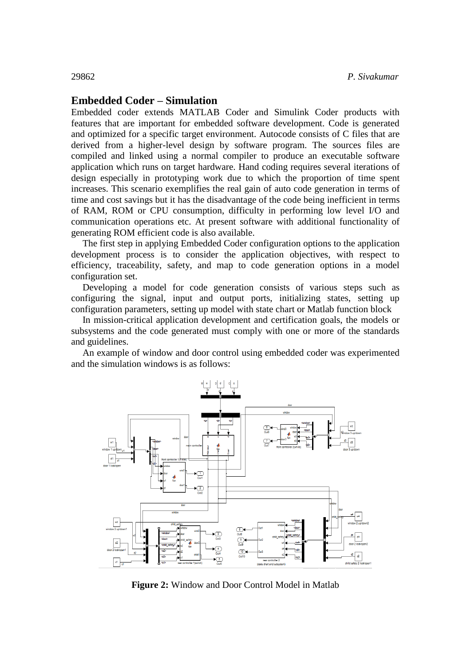## **Embedded Coder – Simulation**

Embedded coder extends MATLAB Coder and Simulink Coder products with features that are important for embedded software development. Code is generated and optimized for a specific target environment. Autocode consists of C files that are derived from a higher-level design by software program. The sources files are compiled and linked using a normal compiler to produce an executable software application which runs on target hardware. Hand coding requires several iterations of design especially in prototyping work due to which the proportion of time spent increases. This scenario exemplifies the real gain of auto code generation in terms of time and cost savings but it has the disadvantage of the code being inefficient in terms of RAM, ROM or CPU consumption, difficulty in performing low level I/O and communication operations etc. At present software with additional functionality of generating ROM efficient code is also available.

The first step in applying Embedded Coder configuration options to the application development process is to consider the application objectives, with respect to efficiency, traceability, safety, and map to code generation options in a model configuration set.

Developing a model for code generation consists of various steps such as configuring the signal, input and output ports, initializing states, setting up configuration parameters, setting up model with state chart or Matlab function block

In mission-critical application development and certification goals, the models or subsystems and the code generated must comply with one or more of the standards and guidelines.

An example of window and door control using embedded coder was experimented and the simulation windows is as follows:



**Figure 2:** Window and Door Control Model in Matlab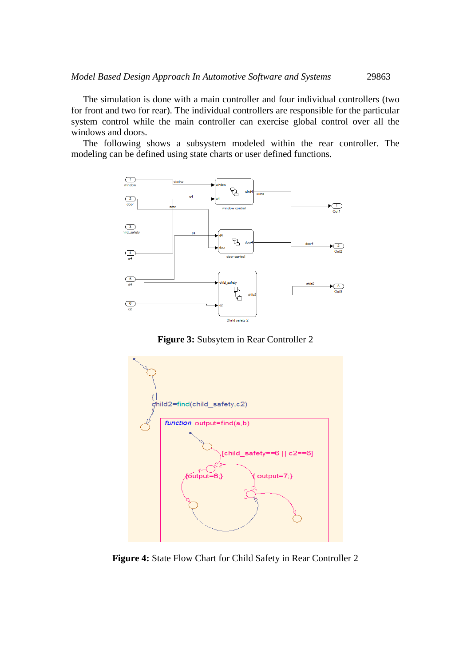The simulation is done with a main controller and four individual controllers (two for front and two for rear). The individual controllers are responsible for the particular system control while the main controller can exercise global control over all the windows and doors.

 The following shows a subsystem modeled within the rear controller. The modeling can be defined using state charts or user defined functions.



**Figure 3:** Subsytem in Rear Controller 2



**Figure 4:** State Flow Chart for Child Safety in Rear Controller 2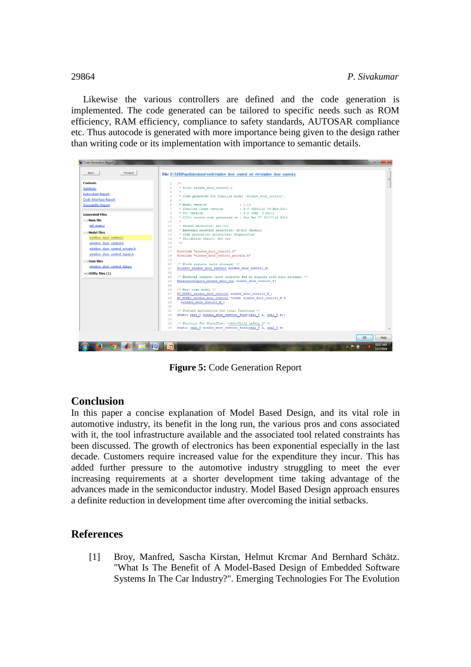Likewise the various controllers are defined and the code generation is implemented. The code generated can be tailored to specific needs such as ROM efficiency, RAM efficiency, compliance to safety standards, AUTOSAR compliance etc. Thus autocode is generated with more importance being given to the design rather than writing code or its implementation with importance to semantic details.

| <b>Contents</b>               | $/$ *<br>$\pm$                                                                                                                                |  |
|-------------------------------|-----------------------------------------------------------------------------------------------------------------------------------------------|--|
| Summary                       | * File: vindov door control.c<br>3                                                                                                            |  |
| <b>Subsystem Report</b>       | * Code generated for Simulink model 'vindov door control'.<br>4                                                                               |  |
| <b>Code Interface Report</b>  | ÷.<br>$\overline{5}$                                                                                                                          |  |
| <b>Traceability Report</b>    | * Model version<br>1.14<br>6                                                                                                                  |  |
|                               | * Simulink Coder version : 8.0 (R2011a) 09-Mar-2011<br>7                                                                                      |  |
| <b>Generated Files</b>        | $\overline{R}$<br>* TLC version<br>: 8.0 (Feb 3 2011)                                                                                         |  |
| [-] Main file                 | * C/C++ source code generated on : Sun Dec 07 10:17:12 2014<br>-9<br>$10^{-1}$                                                                |  |
| ert main.c                    | 11<br>* Target selection: ert.tlc                                                                                                             |  |
|                               | 12<br>* Embedded hardware selection: 32-bit Generic                                                                                           |  |
| 1-1 Model files               | * Code generation objectives: Unspecified<br>13                                                                                               |  |
| window door control.c         | * Validation result: Not run<br>14                                                                                                            |  |
| window door control.h         | 15<br>$\star$ /                                                                                                                               |  |
| window door control private.h | 16<br>17                                                                                                                                      |  |
| window door control types.h   | #include "window door control.h"<br>#include "window door control private.h"<br>18                                                            |  |
| [-] Data files                | 19                                                                                                                                            |  |
| window door control data.c    | /* Block signals (auto storage) */<br>20                                                                                                      |  |
|                               | BlockIO window door control window door control B;<br>21                                                                                      |  |
| $[+]$ Utility files $(1)$     | $22^{\circ}$                                                                                                                                  |  |
|                               | /* External outputs (root outports fed by signals with auto storage) */<br>23<br>ExternalOutputs window door con window door control Y;<br>24 |  |
|                               | 25                                                                                                                                            |  |
|                               | $/*$ Real-time model */<br>26                                                                                                                 |  |
|                               | RT MODEL window door control window door control M ;<br>27                                                                                    |  |
|                               | RT MODEL window door control *const window door control M =<br>28                                                                             |  |
|                               | &window door control M ;<br>29                                                                                                                |  |
|                               | 30<br>/* Forward declaration for local functions */<br>31                                                                                     |  |
|                               | static real T window door control find(real T a, real T b);<br>32                                                                             |  |
|                               | 33                                                                                                                                            |  |
|                               | /* Function for Stateflow: ' <s4>/Child safety 2' */<br/>34</s4>                                                                              |  |
|                               | 35<br>static real I window door control find (real I a, real I b)                                                                             |  |

**Figure 5:** Code Generation Report

# **Conclusion**

In this paper a concise explanation of Model Based Design, and its vital role in automotive industry, its benefit in the long run, the various pros and cons associated with it, the tool infrastructure available and the associated tool related constraints has been discussed. The growth of electronics has been exponential especially in the last decade. Customers require increased value for the expenditure they incur. This has added further pressure to the automotive industry struggling to meet the ever increasing requirements at a shorter development time taking advantage of the advances made in the semiconductor industry. Model Based Design approach ensures a definite reduction in development time after overcoming the initial setbacks.

# **References**

[1] Broy, Manfred, Sascha Kirstan, Helmut Krcmar And Bernhard Schätz. "What Is The Benefit of A Model-Based Design of Embedded Software Systems In The Car Industry?". Emerging Technologies For The Evolution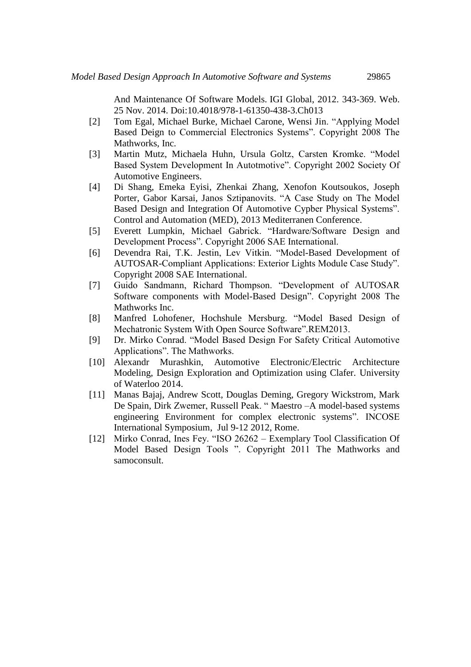And Maintenance Of Software Models. IGI Global, 2012. 343-369. Web. 25 Nov. 2014. Doi:10.4018/978-1-61350-438-3.Ch013

- [2] Tom Egal, Michael Burke, Michael Carone, Wensi Jin. "Applying Model Based Deign to Commercial Electronics Systems". Copyright 2008 The Mathworks, Inc.
- [3] Martin Mutz, Michaela Huhn, Ursula Goltz, Carsten Kromke. "Model Based System Development In Autotmotive". Copyright 2002 Society Of Automotive Engineers.
- [4] Di Shang, Emeka Eyisi, Zhenkai Zhang, Xenofon Koutsoukos, Joseph Porter, Gabor Karsai, Janos Sztipanovits. "A Case Study on The Model Based Design and Integration Of Automotive Cypber Physical Systems". Control and Automation (MED), 2013 Mediterranen Conference.
- [5] Everett Lumpkin, Michael Gabrick. "Hardware/Software Design and Development Process". Copyright 2006 SAE International.
- [6] Devendra Rai, T.K. Jestin, Lev Vitkin. "Model-Based Development of AUTOSAR-Compliant Applications: Exterior Lights Module Case Study". Copyright 2008 SAE International.
- [7] Guido Sandmann, Richard Thompson. "Development of AUTOSAR Software components with Model-Based Design". Copyright 2008 The Mathworks Inc.
- [8] Manfred Lohofener, Hochshule Mersburg. "Model Based Design of Mechatronic System With Open Source Software".REM2013.
- [9] Dr. Mirko Conrad. "Model Based Design For Safety Critical Automotive Applications". The Mathworks.
- [10] Alexandr Murashkin, Automotive Electronic/Electric Architecture Modeling, Design Exploration and Optimization using Clafer. University of Waterloo 2014.
- [11] Manas Bajaj, Andrew Scott, Douglas Deming, Gregory Wickstrom, Mark De Spain, Dirk Zwemer, Russell Peak. " Maestro –A model-based systems engineering Environment for complex electronic systems". INCOSE International Symposium, Jul 9-12 2012, Rome.
- [12] Mirko Conrad, Ines Fey. "ISO 26262 Exemplary Tool Classification Of Model Based Design Tools ". Copyright 2011 The Mathworks and samoconsult.